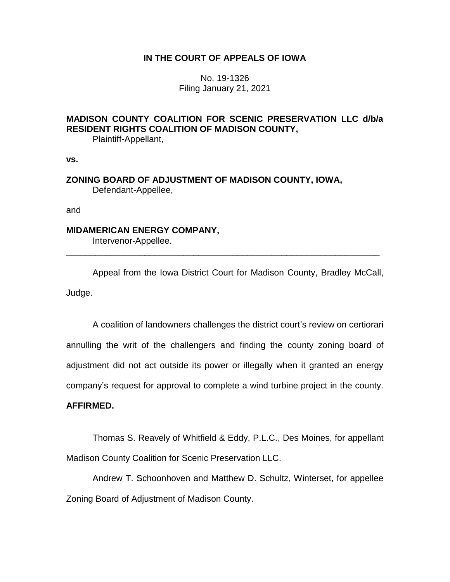### **IN THE COURT OF APPEALS OF IOWA**

No. 19-1326 Filing January 21, 2021

# **MADISON COUNTY COALITION FOR SCENIC PRESERVATION LLC d/b/a RESIDENT RIGHTS COALITION OF MADISON COUNTY,**

Plaintiff-Appellant,

**vs.**

### **ZONING BOARD OF ADJUSTMENT OF MADISON COUNTY, IOWA,** Defendant-Appellee,

and

### **MIDAMERICAN ENERGY COMPANY,**

Intervenor-Appellee.

Appeal from the Iowa District Court for Madison County, Bradley McCall, Judge.

\_\_\_\_\_\_\_\_\_\_\_\_\_\_\_\_\_\_\_\_\_\_\_\_\_\_\_\_\_\_\_\_\_\_\_\_\_\_\_\_\_\_\_\_\_\_\_\_\_\_\_\_\_\_\_\_\_\_\_\_\_\_\_\_

A coalition of landowners challenges the district court's review on certiorari annulling the writ of the challengers and finding the county zoning board of adjustment did not act outside its power or illegally when it granted an energy company's request for approval to complete a wind turbine project in the county.

## **AFFIRMED.**

Thomas S. Reavely of Whitfield & Eddy, P.L.C., Des Moines, for appellant Madison County Coalition for Scenic Preservation LLC.

Andrew T. Schoonhoven and Matthew D. Schultz, Winterset, for appellee Zoning Board of Adjustment of Madison County.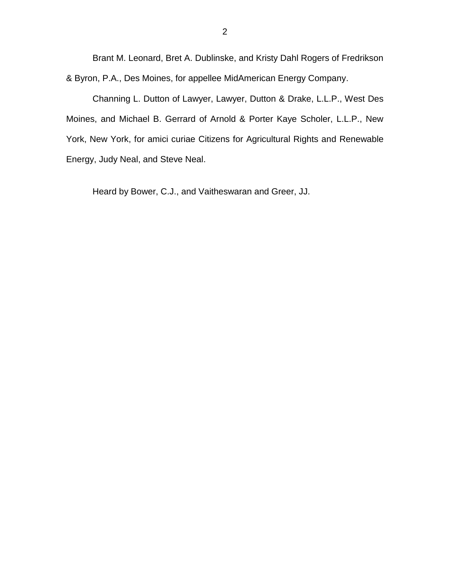Brant M. Leonard, Bret A. Dublinske, and Kristy Dahl Rogers of Fredrikson & Byron, P.A., Des Moines, for appellee MidAmerican Energy Company.

Channing L. Dutton of Lawyer, Lawyer, Dutton & Drake, L.L.P., West Des Moines, and Michael B. Gerrard of Arnold & Porter Kaye Scholer, L.L.P., New York, New York, for amici curiae Citizens for Agricultural Rights and Renewable Energy, Judy Neal, and Steve Neal.

Heard by Bower, C.J., and Vaitheswaran and Greer, JJ.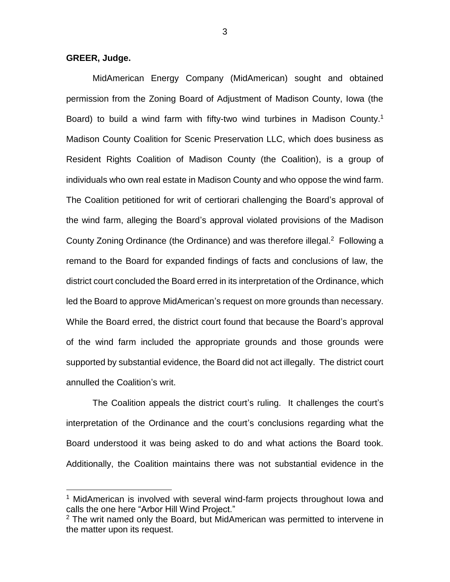### **GREER, Judge.**

 $\overline{a}$ 

MidAmerican Energy Company (MidAmerican) sought and obtained permission from the Zoning Board of Adjustment of Madison County, Iowa (the Board) to build a wind farm with fifty-two wind turbines in Madison County.<sup>1</sup> Madison County Coalition for Scenic Preservation LLC, which does business as Resident Rights Coalition of Madison County (the Coalition), is a group of individuals who own real estate in Madison County and who oppose the wind farm. The Coalition petitioned for writ of certiorari challenging the Board's approval of the wind farm, alleging the Board's approval violated provisions of the Madison County Zoning Ordinance (the Ordinance) and was therefore illegal.<sup>2</sup> Following a remand to the Board for expanded findings of facts and conclusions of law, the district court concluded the Board erred in its interpretation of the Ordinance, which led the Board to approve MidAmerican's request on more grounds than necessary. While the Board erred, the district court found that because the Board's approval of the wind farm included the appropriate grounds and those grounds were supported by substantial evidence, the Board did not act illegally. The district court annulled the Coalition's writ.

The Coalition appeals the district court's ruling. It challenges the court's interpretation of the Ordinance and the court's conclusions regarding what the Board understood it was being asked to do and what actions the Board took. Additionally, the Coalition maintains there was not substantial evidence in the

<sup>&</sup>lt;sup>1</sup> MidAmerican is involved with several wind-farm projects throughout lowa and calls the one here "Arbor Hill Wind Project."

 $2$  The writ named only the Board, but MidAmerican was permitted to intervene in the matter upon its request.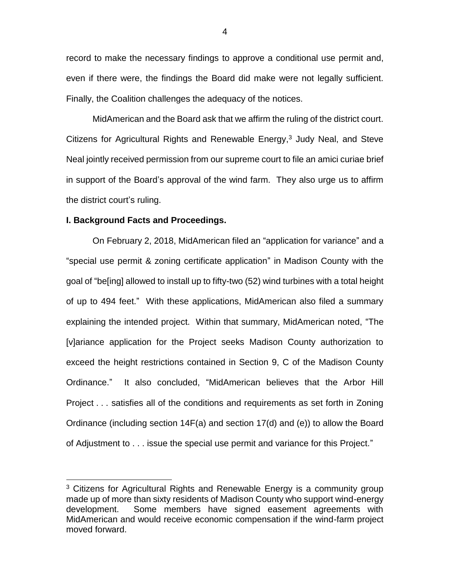record to make the necessary findings to approve a conditional use permit and, even if there were, the findings the Board did make were not legally sufficient. Finally, the Coalition challenges the adequacy of the notices.

MidAmerican and the Board ask that we affirm the ruling of the district court. Citizens for Agricultural Rights and Renewable Energy, <sup>3</sup> Judy Neal, and Steve Neal jointly received permission from our supreme court to file an amici curiae brief in support of the Board's approval of the wind farm. They also urge us to affirm the district court's ruling.

#### **I. Background Facts and Proceedings.**

 $\overline{a}$ 

On February 2, 2018, MidAmerican filed an "application for variance" and a "special use permit & zoning certificate application" in Madison County with the goal of "be[ing] allowed to install up to fifty-two (52) wind turbines with a total height of up to 494 feet." With these applications, MidAmerican also filed a summary explaining the intended project. Within that summary, MidAmerican noted, "The [v]ariance application for the Project seeks Madison County authorization to exceed the height restrictions contained in Section 9, C of the Madison County Ordinance." It also concluded, "MidAmerican believes that the Arbor Hill Project . . . satisfies all of the conditions and requirements as set forth in Zoning Ordinance (including section 14F(a) and section 17(d) and (e)) to allow the Board of Adjustment to . . . issue the special use permit and variance for this Project."

4

<sup>&</sup>lt;sup>3</sup> Citizens for Agricultural Rights and Renewable Energy is a community group made up of more than sixty residents of Madison County who support wind-energy development. Some members have signed easement agreements with MidAmerican and would receive economic compensation if the wind-farm project moved forward.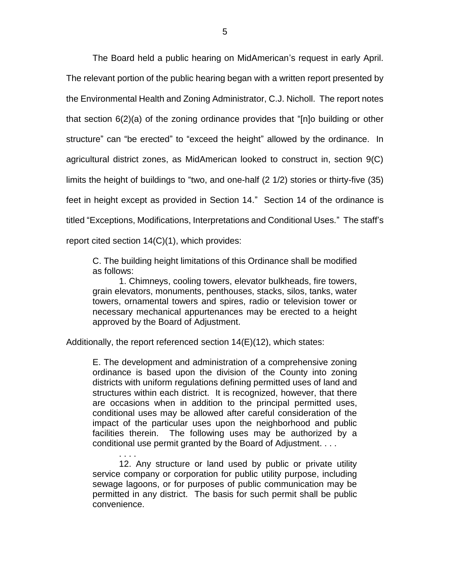The Board held a public hearing on MidAmerican's request in early April. The relevant portion of the public hearing began with a written report presented by the Environmental Health and Zoning Administrator, C.J. Nicholl. The report notes that section 6(2)(a) of the zoning ordinance provides that "[n]o building or other structure" can "be erected" to "exceed the height" allowed by the ordinance. In agricultural district zones, as MidAmerican looked to construct in, section 9(C) limits the height of buildings to "two, and one-half (2 1/2) stories or thirty-five (35) feet in height except as provided in Section 14." Section 14 of the ordinance is titled "Exceptions, Modifications, Interpretations and Conditional Uses." The staff's report cited section 14(C)(1), which provides:

C. The building height limitations of this Ordinance shall be modified as follows:

1. Chimneys, cooling towers, elevator bulkheads, fire towers, grain elevators, monuments, penthouses, stacks, silos, tanks, water towers, ornamental towers and spires, radio or television tower or necessary mechanical appurtenances may be erected to a height approved by the Board of Adjustment.

Additionally, the report referenced section 14(E)(12), which states:

E. The development and administration of a comprehensive zoning ordinance is based upon the division of the County into zoning districts with uniform regulations defining permitted uses of land and structures within each district. It is recognized, however, that there are occasions when in addition to the principal permitted uses, conditional uses may be allowed after careful consideration of the impact of the particular uses upon the neighborhood and public facilities therein. The following uses may be authorized by a conditional use permit granted by the Board of Adjustment. . . .

. . . . 12. Any structure or land used by public or private utility service company or corporation for public utility purpose, including sewage lagoons, or for purposes of public communication may be permitted in any district. The basis for such permit shall be public convenience.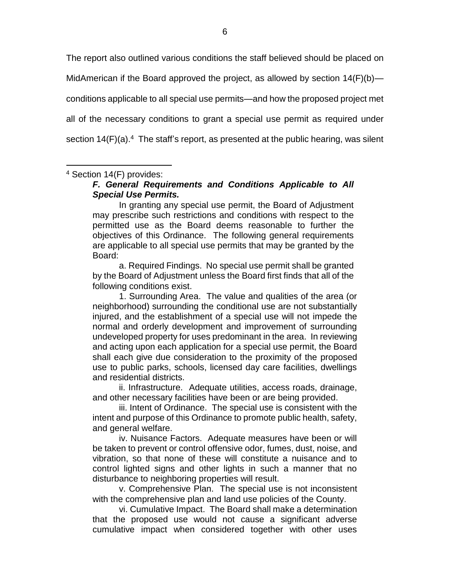The report also outlined various conditions the staff believed should be placed on MidAmerican if the Board approved the project, as allowed by section  $14(F)(b)$  conditions applicable to all special use permits—and how the proposed project met all of the necessary conditions to grant a special use permit as required under section  $14(F)(a)$ .<sup>4</sup> The staff's report, as presented at the public hearing, was silent

<sup>4</sup> Section 14(F) provides:

 $\overline{a}$ 

## *F. General Requirements and Conditions Applicable to All Special Use Permits.*

In granting any special use permit, the Board of Adjustment may prescribe such restrictions and conditions with respect to the permitted use as the Board deems reasonable to further the objectives of this Ordinance. The following general requirements are applicable to all special use permits that may be granted by the Board:

a. Required Findings. No special use permit shall be granted by the Board of Adjustment unless the Board first finds that all of the following conditions exist.

1. Surrounding Area. The value and qualities of the area (or neighborhood) surrounding the conditional use are not substantially injured, and the establishment of a special use will not impede the normal and orderly development and improvement of surrounding undeveloped property for uses predominant in the area. In reviewing and acting upon each application for a special use permit, the Board shall each give due consideration to the proximity of the proposed use to public parks, schools, licensed day care facilities, dwellings and residential districts.

ii. Infrastructure. Adequate utilities, access roads, drainage, and other necessary facilities have been or are being provided.

iii. Intent of Ordinance. The special use is consistent with the intent and purpose of this Ordinance to promote public health, safety, and general welfare.

iv. Nuisance Factors. Adequate measures have been or will be taken to prevent or control offensive odor, fumes, dust, noise, and vibration, so that none of these will constitute a nuisance and to control lighted signs and other lights in such a manner that no disturbance to neighboring properties will result.

v. Comprehensive Plan. The special use is not inconsistent with the comprehensive plan and land use policies of the County.

vi. Cumulative Impact. The Board shall make a determination that the proposed use would not cause a significant adverse cumulative impact when considered together with other uses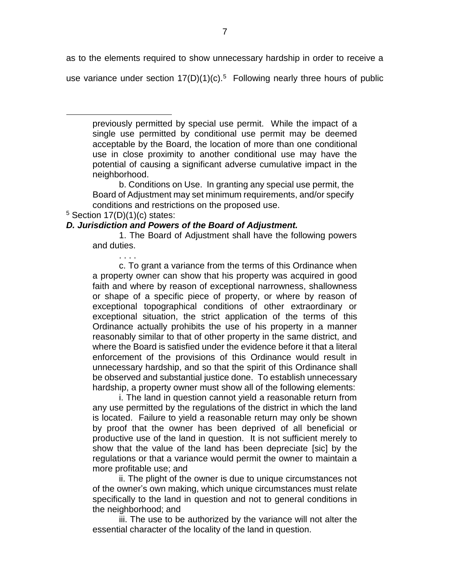as to the elements required to show unnecessary hardship in order to receive a use variance under section  $17(D)(1)(c).5$  Following nearly three hours of public

previously permitted by special use permit. While the impact of a single use permitted by conditional use permit may be deemed acceptable by the Board, the location of more than one conditional use in close proximity to another conditional use may have the potential of causing a significant adverse cumulative impact in the neighborhood.

b. Conditions on Use. In granting any special use permit, the Board of Adjustment may set minimum requirements, and/or specify conditions and restrictions on the proposed use.

 $5$  Section 17(D)(1)(c) states:

. . . .

 $\overline{a}$ 

### *D. Jurisdiction and Powers of the Board of Adjustment.*

1. The Board of Adjustment shall have the following powers and duties.

c. To grant a variance from the terms of this Ordinance when a property owner can show that his property was acquired in good faith and where by reason of exceptional narrowness, shallowness or shape of a specific piece of property, or where by reason of exceptional topographical conditions of other extraordinary or exceptional situation, the strict application of the terms of this Ordinance actually prohibits the use of his property in a manner reasonably similar to that of other property in the same district, and where the Board is satisfied under the evidence before it that a literal enforcement of the provisions of this Ordinance would result in unnecessary hardship, and so that the spirit of this Ordinance shall be observed and substantial justice done. To establish unnecessary hardship, a property owner must show all of the following elements:

i. The land in question cannot yield a reasonable return from any use permitted by the regulations of the district in which the land is located. Failure to yield a reasonable return may only be shown by proof that the owner has been deprived of all beneficial or productive use of the land in question. It is not sufficient merely to show that the value of the land has been depreciate [sic] by the regulations or that a variance would permit the owner to maintain a more profitable use; and

ii. The plight of the owner is due to unique circumstances not of the owner's own making, which unique circumstances must relate specifically to the land in question and not to general conditions in the neighborhood; and

iii. The use to be authorized by the variance will not alter the essential character of the locality of the land in question.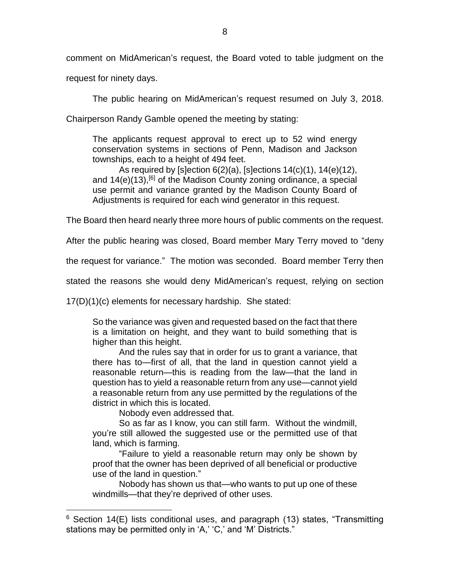comment on MidAmerican's request, the Board voted to table judgment on the

request for ninety days.

The public hearing on MidAmerican's request resumed on July 3, 2018.

Chairperson Randy Gamble opened the meeting by stating:

The applicants request approval to erect up to 52 wind energy conservation systems in sections of Penn, Madison and Jackson townships, each to a height of 494 feet.

As required by [s]ection 6(2)(a), [s]ections 14(c)(1), 14(e)(12), and  $14(e)(13)$ , <sup>[6]</sup> of the Madison County zoning ordinance, a special use permit and variance granted by the Madison County Board of Adjustments is required for each wind generator in this request.

The Board then heard nearly three more hours of public comments on the request.

After the public hearing was closed, Board member Mary Terry moved to "deny

the request for variance." The motion was seconded. Board member Terry then

stated the reasons she would deny MidAmerican's request, relying on section

17(D)(1)(c) elements for necessary hardship. She stated:

So the variance was given and requested based on the fact that there is a limitation on height, and they want to build something that is higher than this height.

And the rules say that in order for us to grant a variance, that there has to—first of all, that the land in question cannot yield a reasonable return—this is reading from the law—that the land in question has to yield a reasonable return from any use—cannot yield a reasonable return from any use permitted by the regulations of the district in which this is located.

Nobody even addressed that.

 $\overline{a}$ 

So as far as I know, you can still farm. Without the windmill, you're still allowed the suggested use or the permitted use of that land, which is farming.

"Failure to yield a reasonable return may only be shown by proof that the owner has been deprived of all beneficial or productive use of the land in question."

Nobody has shown us that—who wants to put up one of these windmills—that they're deprived of other uses.

<sup>&</sup>lt;sup>6</sup> Section 14(E) lists conditional uses, and paragraph (13) states, "Transmitting stations may be permitted only in 'A,' 'C,' and 'M' Districts."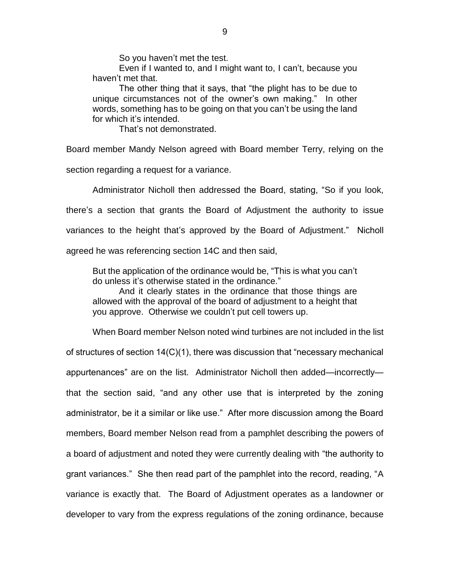So you haven't met the test.

Even if I wanted to, and I might want to, I can't, because you haven't met that.

The other thing that it says, that "the plight has to be due to unique circumstances not of the owner's own making." In other words, something has to be going on that you can't be using the land for which it's intended.

That's not demonstrated.

Board member Mandy Nelson agreed with Board member Terry, relying on the

section regarding a request for a variance.

Administrator Nicholl then addressed the Board, stating, "So if you look,

there's a section that grants the Board of Adjustment the authority to issue

variances to the height that's approved by the Board of Adjustment." Nicholl

agreed he was referencing section 14C and then said,

But the application of the ordinance would be, "This is what you can't do unless it's otherwise stated in the ordinance."

And it clearly states in the ordinance that those things are allowed with the approval of the board of adjustment to a height that you approve. Otherwise we couldn't put cell towers up.

When Board member Nelson noted wind turbines are not included in the list of structures of section 14(C)(1), there was discussion that "necessary mechanical appurtenances" are on the list. Administrator Nicholl then added—incorrectly that the section said, "and any other use that is interpreted by the zoning administrator, be it a similar or like use." After more discussion among the Board members, Board member Nelson read from a pamphlet describing the powers of a board of adjustment and noted they were currently dealing with "the authority to grant variances." She then read part of the pamphlet into the record, reading, "A variance is exactly that. The Board of Adjustment operates as a landowner or developer to vary from the express regulations of the zoning ordinance, because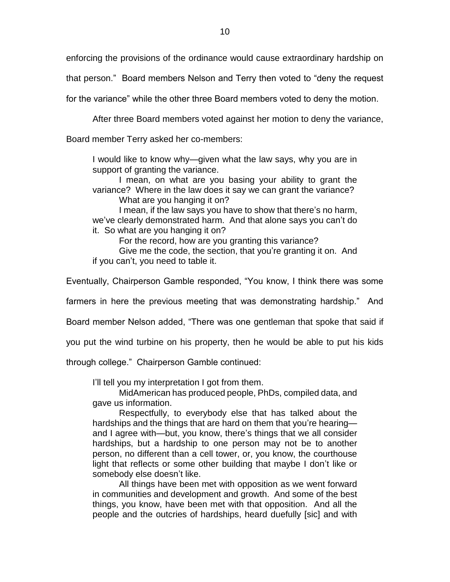enforcing the provisions of the ordinance would cause extraordinary hardship on

that person." Board members Nelson and Terry then voted to "deny the request

for the variance" while the other three Board members voted to deny the motion.

After three Board members voted against her motion to deny the variance,

Board member Terry asked her co-members:

I would like to know why—given what the law says, why you are in support of granting the variance.

I mean, on what are you basing your ability to grant the variance? Where in the law does it say we can grant the variance? What are you hanging it on?

I mean, if the law says you have to show that there's no harm, we've clearly demonstrated harm. And that alone says you can't do it. So what are you hanging it on?

For the record, how are you granting this variance?

Give me the code, the section, that you're granting it on. And if you can't, you need to table it.

Eventually, Chairperson Gamble responded, "You know, I think there was some

farmers in here the previous meeting that was demonstrating hardship." And

Board member Nelson added, "There was one gentleman that spoke that said if

you put the wind turbine on his property, then he would be able to put his kids

through college." Chairperson Gamble continued:

I'll tell you my interpretation I got from them.

MidAmerican has produced people, PhDs, compiled data, and gave us information.

Respectfully, to everybody else that has talked about the hardships and the things that are hard on them that you're hearing and I agree with—but, you know, there's things that we all consider hardships, but a hardship to one person may not be to another person, no different than a cell tower, or, you know, the courthouse light that reflects or some other building that maybe I don't like or somebody else doesn't like.

All things have been met with opposition as we went forward in communities and development and growth. And some of the best things, you know, have been met with that opposition. And all the people and the outcries of hardships, heard duefully [sic] and with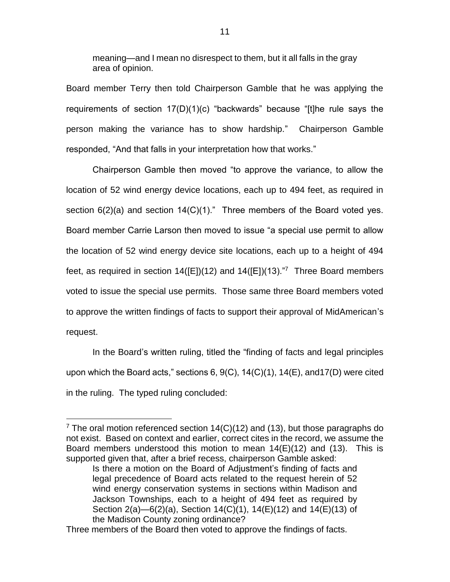meaning—and I mean no disrespect to them, but it all falls in the gray area of opinion.

Board member Terry then told Chairperson Gamble that he was applying the requirements of section 17(D)(1)(c) "backwards" because "[t]he rule says the person making the variance has to show hardship." Chairperson Gamble responded, "And that falls in your interpretation how that works."

Chairperson Gamble then moved "to approve the variance, to allow the location of 52 wind energy device locations, each up to 494 feet, as required in section  $6(2)(a)$  and section  $14(C)(1)$ ." Three members of the Board voted yes. Board member Carrie Larson then moved to issue "a special use permit to allow the location of 52 wind energy device site locations, each up to a height of 494 feet, as required in section  $14([E])(12)$  and  $14([E])(13).<sup>7</sup>$  Three Board members voted to issue the special use permits. Those same three Board members voted to approve the written findings of facts to support their approval of MidAmerican's request.

In the Board's written ruling, titled the "finding of facts and legal principles upon which the Board acts," sections 6, 9(C), 14(C)(1), 14(E), and17(D) were cited in the ruling. The typed ruling concluded:

<sup>&</sup>lt;sup>7</sup> The oral motion referenced section  $14(C)(12)$  and (13), but those paragraphs do not exist. Based on context and earlier, correct cites in the record, we assume the Board members understood this motion to mean  $14(E)(12)$  and  $(13)$ . This is supported given that, after a brief recess, chairperson Gamble asked:

Is there a motion on the Board of Adjustment's finding of facts and legal precedence of Board acts related to the request herein of 52 wind energy conservation systems in sections within Madison and Jackson Townships, each to a height of 494 feet as required by Section 2(a)—6(2)(a), Section 14(C)(1), 14(E)(12) and 14(E)(13) of the Madison County zoning ordinance?

Three members of the Board then voted to approve the findings of facts.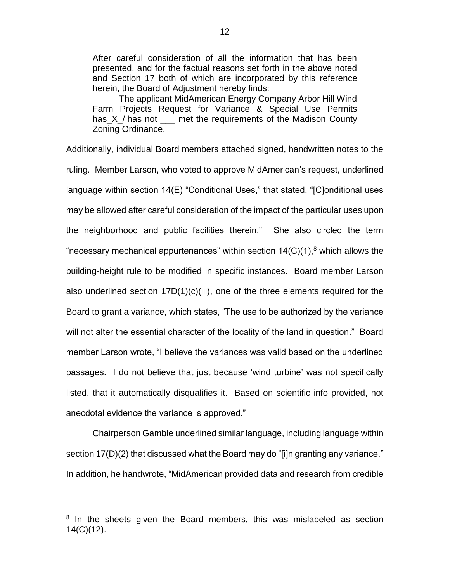After careful consideration of all the information that has been presented, and for the factual reasons set forth in the above noted and Section 17 both of which are incorporated by this reference herein, the Board of Adjustment hereby finds:

The applicant MidAmerican Energy Company Arbor Hill Wind Farm Projects Request for Variance & Special Use Permits has X / has not \_\_\_ met the requirements of the Madison County Zoning Ordinance.

Additionally, individual Board members attached signed, handwritten notes to the ruling. Member Larson, who voted to approve MidAmerican's request, underlined language within section 14(E) "Conditional Uses," that stated, "[C]onditional uses may be allowed after careful consideration of the impact of the particular uses upon the neighborhood and public facilities therein." She also circled the term "necessary mechanical appurtenances" within section  $14(C)(1)$ ,<sup>8</sup> which allows the building-height rule to be modified in specific instances. Board member Larson also underlined section 17D(1)(c)(iii), one of the three elements required for the Board to grant a variance, which states, "The use to be authorized by the variance will not alter the essential character of the locality of the land in question." Board member Larson wrote, "I believe the variances was valid based on the underlined passages. I do not believe that just because 'wind turbine' was not specifically listed, that it automatically disqualifies it. Based on scientific info provided, not anecdotal evidence the variance is approved."

Chairperson Gamble underlined similar language, including language within section 17(D)(2) that discussed what the Board may do "[i]n granting any variance." In addition, he handwrote, "MidAmerican provided data and research from credible

<sup>&</sup>lt;sup>8</sup> In the sheets given the Board members, this was mislabeled as section 14(C)(12).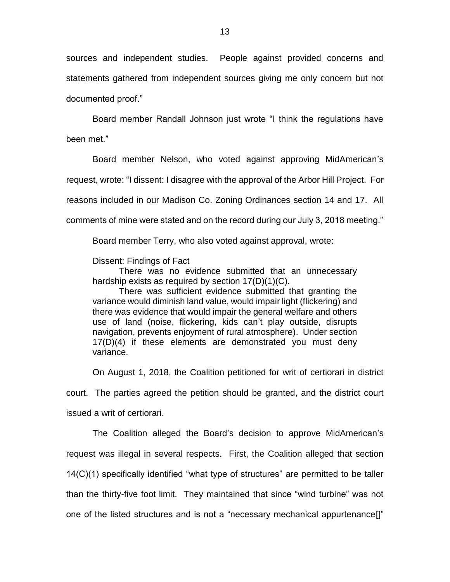sources and independent studies. People against provided concerns and statements gathered from independent sources giving me only concern but not documented proof."

Board member Randall Johnson just wrote "I think the regulations have been met."

Board member Nelson, who voted against approving MidAmerican's request, wrote: "I dissent: I disagree with the approval of the Arbor Hill Project. For reasons included in our Madison Co. Zoning Ordinances section 14 and 17. All comments of mine were stated and on the record during our July 3, 2018 meeting."

Board member Terry, who also voted against approval, wrote:

Dissent: Findings of Fact

There was no evidence submitted that an unnecessary hardship exists as required by section 17(D)(1)(C).

There was sufficient evidence submitted that granting the variance would diminish land value, would impair light (flickering) and there was evidence that would impair the general welfare and others use of land (noise, flickering, kids can't play outside, disrupts navigation, prevents enjoyment of rural atmosphere). Under section 17(D)(4) if these elements are demonstrated you must deny variance.

On August 1, 2018, the Coalition petitioned for writ of certiorari in district

court. The parties agreed the petition should be granted, and the district court issued a writ of certiorari.

The Coalition alleged the Board's decision to approve MidAmerican's request was illegal in several respects. First, the Coalition alleged that section 14(C)(1) specifically identified "what type of structures" are permitted to be taller than the thirty-five foot limit. They maintained that since "wind turbine" was not one of the listed structures and is not a "necessary mechanical appurtenance[]"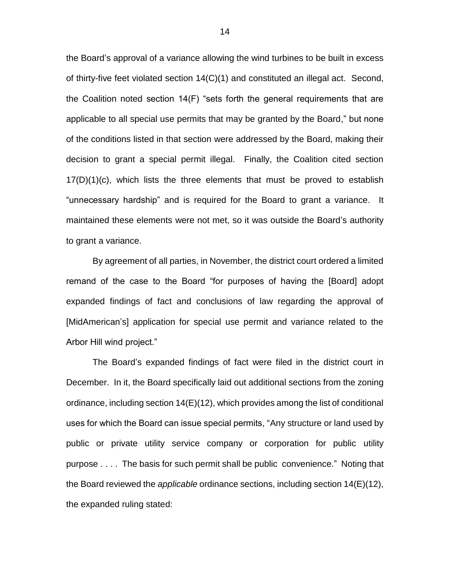the Board's approval of a variance allowing the wind turbines to be built in excess of thirty-five feet violated section 14(C)(1) and constituted an illegal act. Second, the Coalition noted section 14(F) "sets forth the general requirements that are applicable to all special use permits that may be granted by the Board," but none of the conditions listed in that section were addressed by the Board, making their decision to grant a special permit illegal. Finally, the Coalition cited section  $17(D)(1)(c)$ , which lists the three elements that must be proved to establish "unnecessary hardship" and is required for the Board to grant a variance. It maintained these elements were not met, so it was outside the Board's authority to grant a variance.

By agreement of all parties, in November, the district court ordered a limited remand of the case to the Board "for purposes of having the [Board] adopt expanded findings of fact and conclusions of law regarding the approval of [MidAmerican's] application for special use permit and variance related to the Arbor Hill wind project."

The Board's expanded findings of fact were filed in the district court in December. In it, the Board specifically laid out additional sections from the zoning ordinance, including section 14(E)(12), which provides among the list of conditional uses for which the Board can issue special permits, "Any structure or land used by public or private utility service company or corporation for public utility purpose . . . . The basis for such permit shall be public convenience." Noting that the Board reviewed the *applicable* ordinance sections, including section 14(E)(12), the expanded ruling stated: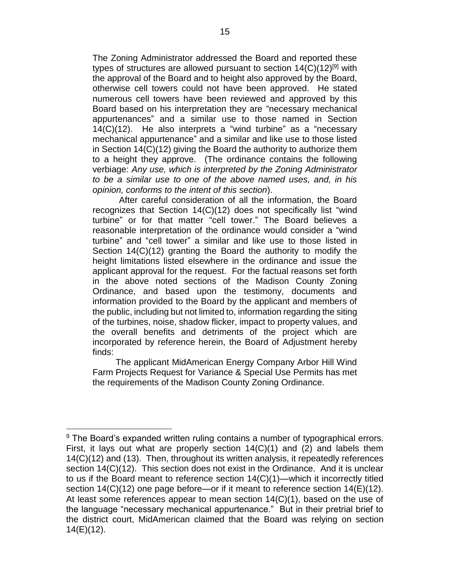The Zoning Administrator addressed the Board and reported these types of structures are allowed pursuant to section 14(C)(12)<sup>[9]</sup> with the approval of the Board and to height also approved by the Board, otherwise cell towers could not have been approved. He stated numerous cell towers have been reviewed and approved by this Board based on his interpretation they are "necessary mechanical appurtenances" and a similar use to those named in Section 14(C)(12). He also interprets a "wind turbine" as a "necessary mechanical appurtenance" and a similar and like use to those listed in Section 14(C)(12) giving the Board the authority to authorize them to a height they approve. (The ordinance contains the following verbiage: *Any use, which is interpreted by the Zoning Administrator to be a similar use to one of the above named uses, and, in his opinion, conforms to the intent of this section*).

After careful consideration of all the information, the Board recognizes that Section 14(C)(12) does not specifically list "wind turbine" or for that matter "cell tower." The Board believes a reasonable interpretation of the ordinance would consider a "wind turbine" and "cell tower" a similar and like use to those listed in Section 14(C)(12) granting the Board the authority to modify the height limitations listed elsewhere in the ordinance and issue the applicant approval for the request. For the factual reasons set forth in the above noted sections of the Madison County Zoning Ordinance, and based upon the testimony, documents and information provided to the Board by the applicant and members of the public, including but not limited to, information regarding the siting of the turbines, noise, shadow flicker, impact to property values, and the overall benefits and detriments of the project which are incorporated by reference herein, the Board of Adjustment hereby finds:

The applicant MidAmerican Energy Company Arbor Hill Wind Farm Projects Request for Variance & Special Use Permits has met the requirements of the Madison County Zoning Ordinance.

<sup>&</sup>lt;sup>9</sup> The Board's expanded written ruling contains a number of typographical errors. First, it lays out what are properly section  $14(C)(1)$  and  $(2)$  and labels them 14(C)(12) and (13). Then, throughout its written analysis, it repeatedly references section 14(C)(12). This section does not exist in the Ordinance. And it is unclear to us if the Board meant to reference section 14(C)(1)—which it incorrectly titled section 14(C)(12) one page before—or if it meant to reference section 14(E)(12). At least some references appear to mean section  $14(C)(1)$ , based on the use of the language "necessary mechanical appurtenance." But in their pretrial brief to the district court, MidAmerican claimed that the Board was relying on section 14(E)(12).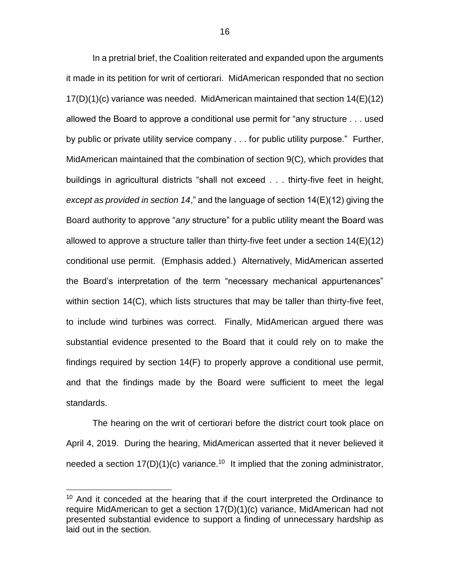In a pretrial brief, the Coalition reiterated and expanded upon the arguments it made in its petition for writ of certiorari. MidAmerican responded that no section 17(D)(1)(c) variance was needed. MidAmerican maintained that section 14(E)(12) allowed the Board to approve a conditional use permit for "any structure . . . used by public or private utility service company . . . for public utility purpose." Further, MidAmerican maintained that the combination of section 9(C), which provides that buildings in agricultural districts "shall not exceed . . . thirty-five feet in height, *except as provided in section 14*," and the language of section 14(E)(12) giving the Board authority to approve "*any* structure" for a public utility meant the Board was allowed to approve a structure taller than thirty-five feet under a section 14(E)(12) conditional use permit. (Emphasis added.) Alternatively, MidAmerican asserted the Board's interpretation of the term "necessary mechanical appurtenances" within section 14(C), which lists structures that may be taller than thirty-five feet, to include wind turbines was correct. Finally, MidAmerican argued there was substantial evidence presented to the Board that it could rely on to make the findings required by section 14(F) to properly approve a conditional use permit, and that the findings made by the Board were sufficient to meet the legal standards.

The hearing on the writ of certiorari before the district court took place on April 4, 2019. During the hearing, MidAmerican asserted that it never believed it needed a section  $17(D)(1)(c)$  variance.<sup>10</sup> It implied that the zoning administrator,

<sup>&</sup>lt;sup>10</sup> And it conceded at the hearing that if the court interpreted the Ordinance to require MidAmerican to get a section 17(D)(1)(c) variance, MidAmerican had not presented substantial evidence to support a finding of unnecessary hardship as laid out in the section.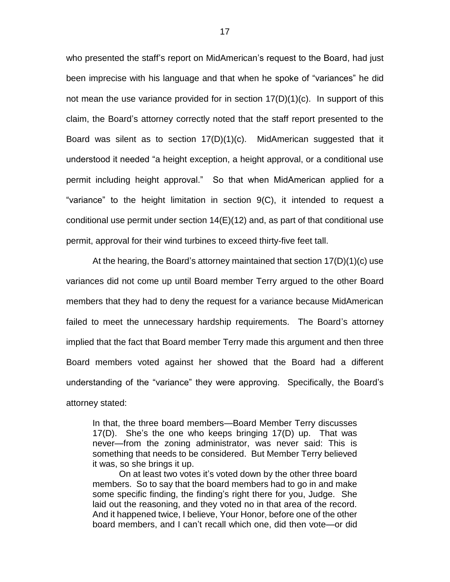who presented the staff's report on MidAmerican's request to the Board, had just been imprecise with his language and that when he spoke of "variances" he did not mean the use variance provided for in section  $17(D)(1)(c)$ . In support of this claim, the Board's attorney correctly noted that the staff report presented to the Board was silent as to section 17(D)(1)(c). MidAmerican suggested that it understood it needed "a height exception, a height approval, or a conditional use permit including height approval." So that when MidAmerican applied for a "variance" to the height limitation in section 9(C), it intended to request a conditional use permit under section 14(E)(12) and, as part of that conditional use permit, approval for their wind turbines to exceed thirty-five feet tall.

At the hearing, the Board's attorney maintained that section 17(D)(1)(c) use variances did not come up until Board member Terry argued to the other Board members that they had to deny the request for a variance because MidAmerican failed to meet the unnecessary hardship requirements. The Board's attorney implied that the fact that Board member Terry made this argument and then three Board members voted against her showed that the Board had a different understanding of the "variance" they were approving. Specifically, the Board's attorney stated:

In that, the three board members—Board Member Terry discusses 17(D). She's the one who keeps bringing 17(D) up. That was never—from the zoning administrator, was never said: This is something that needs to be considered. But Member Terry believed it was, so she brings it up.

On at least two votes it's voted down by the other three board members. So to say that the board members had to go in and make some specific finding, the finding's right there for you, Judge. She laid out the reasoning, and they voted no in that area of the record. And it happened twice, I believe, Your Honor, before one of the other board members, and I can't recall which one, did then vote—or did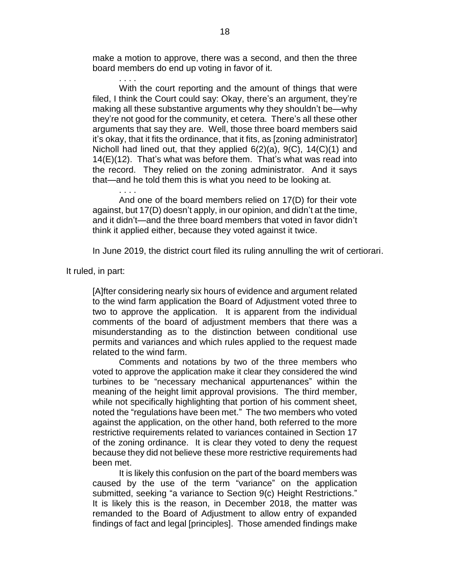make a motion to approve, there was a second, and then the three board members do end up voting in favor of it.

. . . . With the court reporting and the amount of things that were filed, I think the Court could say: Okay, there's an argument, they're making all these substantive arguments why they shouldn't be—why they're not good for the community, et cetera. There's all these other arguments that say they are. Well, those three board members said it's okay, that it fits the ordinance, that it fits, as [zoning administrator] Nicholl had lined out, that they applied 6(2)(a), 9(C), 14(C)(1) and 14(E)(12). That's what was before them. That's what was read into the record. They relied on the zoning administrator. And it says that—and he told them this is what you need to be looking at.

And one of the board members relied on 17(D) for their vote against, but 17(D) doesn't apply, in our opinion, and didn't at the time, and it didn't—and the three board members that voted in favor didn't think it applied either, because they voted against it twice.

In June 2019, the district court filed its ruling annulling the writ of certiorari.

It ruled, in part:

. . . .

[A]fter considering nearly six hours of evidence and argument related to the wind farm application the Board of Adjustment voted three to two to approve the application. It is apparent from the individual comments of the board of adjustment members that there was a misunderstanding as to the distinction between conditional use permits and variances and which rules applied to the request made related to the wind farm.

Comments and notations by two of the three members who voted to approve the application make it clear they considered the wind turbines to be "necessary mechanical appurtenances" within the meaning of the height limit approval provisions. The third member, while not specifically highlighting that portion of his comment sheet, noted the "regulations have been met." The two members who voted against the application, on the other hand, both referred to the more restrictive requirements related to variances contained in Section 17 of the zoning ordinance. It is clear they voted to deny the request because they did not believe these more restrictive requirements had been met.

It is likely this confusion on the part of the board members was caused by the use of the term "variance" on the application submitted, seeking "a variance to Section 9(c) Height Restrictions." It is likely this is the reason, in December 2018, the matter was remanded to the Board of Adjustment to allow entry of expanded findings of fact and legal [principles]. Those amended findings make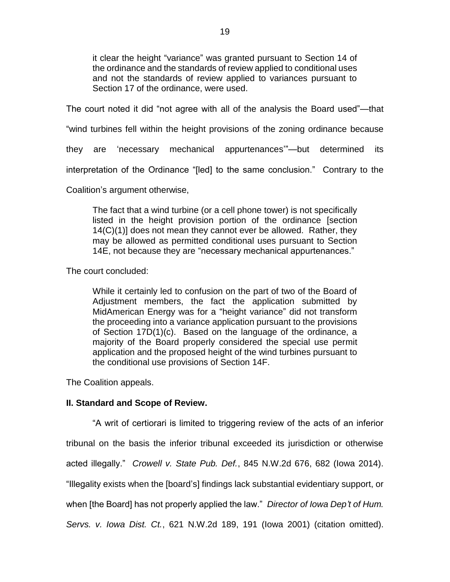it clear the height "variance" was granted pursuant to Section 14 of the ordinance and the standards of review applied to conditional uses and not the standards of review applied to variances pursuant to Section 17 of the ordinance, were used.

The court noted it did "not agree with all of the analysis the Board used"—that

"wind turbines fell within the height provisions of the zoning ordinance because

they are 'necessary mechanical appurtenances'"—but determined its

interpretation of the Ordinance "[led] to the same conclusion." Contrary to the

Coalition's argument otherwise,

The fact that a wind turbine (or a cell phone tower) is not specifically listed in the height provision portion of the ordinance [section 14(C)(1)] does not mean they cannot ever be allowed. Rather, they may be allowed as permitted conditional uses pursuant to Section 14E, not because they are "necessary mechanical appurtenances."

The court concluded:

While it certainly led to confusion on the part of two of the Board of Adjustment members, the fact the application submitted by MidAmerican Energy was for a "height variance" did not transform the proceeding into a variance application pursuant to the provisions of Section 17D(1)(c). Based on the language of the ordinance, a majority of the Board properly considered the special use permit application and the proposed height of the wind turbines pursuant to the conditional use provisions of Section 14F.

The Coalition appeals.

#### **II. Standard and Scope of Review.**

"A writ of certiorari is limited to triggering review of the acts of an inferior tribunal on the basis the inferior tribunal exceeded its jurisdiction or otherwise acted illegally." *Crowell v. State Pub. Def.*, 845 N.W.2d 676, 682 (Iowa 2014). "Illegality exists when the [board's] findings lack substantial evidentiary support, or when [the Board] has not properly applied the law." *Director of Iowa Dep't of Hum. Servs. v. Iowa Dist. Ct.*, 621 N.W.2d 189, 191 (Iowa 2001) (citation omitted).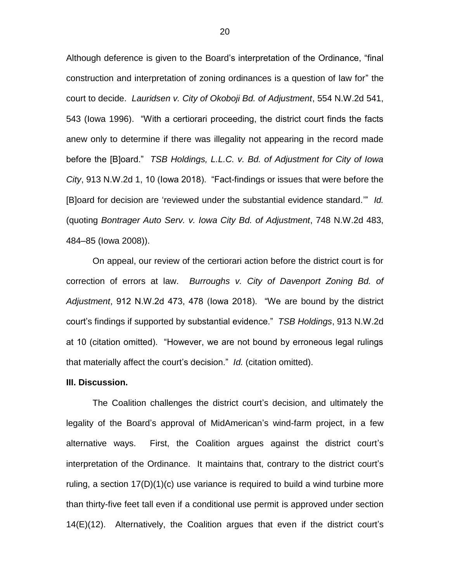Although deference is given to the Board's interpretation of the Ordinance, "final construction and interpretation of zoning ordinances is a question of law for" the court to decide. *Lauridsen v. City of Okoboji Bd. of Adjustment*, 554 N.W.2d 541, 543 (Iowa 1996). "With a certiorari proceeding, the district court finds the facts anew only to determine if there was illegality not appearing in the record made before the [B]oard." *TSB Holdings, L.L.C. v. Bd. of Adjustment for City of Iowa City*, 913 N.W.2d 1, 10 (Iowa 2018). "Fact-findings or issues that were before the [B]oard for decision are 'reviewed under the substantial evidence standard.'" *Id.*  (quoting *Bontrager Auto Serv. v. Iowa City Bd. of Adjustment*, 748 N.W.2d 483, 484–85 (Iowa 2008)).

On appeal, our review of the certiorari action before the district court is for correction of errors at law. *Burroughs v. City of Davenport Zoning Bd. of Adjustment*, 912 N.W.2d 473, 478 (Iowa 2018). "We are bound by the district court's findings if supported by substantial evidence." *TSB Holdings*, 913 N.W.2d at 10 (citation omitted). "However, we are not bound by erroneous legal rulings that materially affect the court's decision." *Id.* (citation omitted).

#### **III. Discussion.**

The Coalition challenges the district court's decision, and ultimately the legality of the Board's approval of MidAmerican's wind-farm project, in a few alternative ways. First, the Coalition argues against the district court's interpretation of the Ordinance. It maintains that, contrary to the district court's ruling, a section  $17(D)(1)(c)$  use variance is required to build a wind turbine more than thirty-five feet tall even if a conditional use permit is approved under section 14(E)(12). Alternatively, the Coalition argues that even if the district court's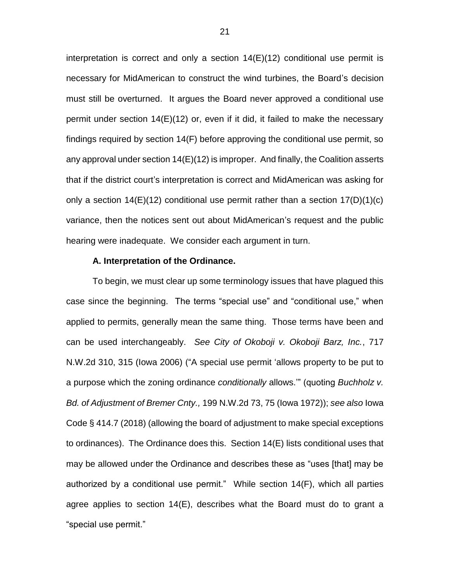interpretation is correct and only a section 14(E)(12) conditional use permit is necessary for MidAmerican to construct the wind turbines, the Board's decision must still be overturned. It argues the Board never approved a conditional use permit under section 14(E)(12) or, even if it did, it failed to make the necessary findings required by section 14(F) before approving the conditional use permit, so any approval under section 14(E)(12) is improper. And finally, the Coalition asserts that if the district court's interpretation is correct and MidAmerican was asking for only a section  $14(E)(12)$  conditional use permit rather than a section  $17(D)(1)(c)$ variance, then the notices sent out about MidAmerican's request and the public hearing were inadequate. We consider each argument in turn.

#### **A. Interpretation of the Ordinance.**

To begin, we must clear up some terminology issues that have plagued this case since the beginning. The terms "special use" and "conditional use," when applied to permits, generally mean the same thing. Those terms have been and can be used interchangeably. *See City of Okoboji v. Okoboji Barz, Inc.*, 717 N.W.2d 310, 315 (Iowa 2006) ("A special use permit 'allows property to be put to a purpose which the zoning ordinance *conditionally* allows.'" (quoting *Buchholz v. Bd. of Adjustment of Bremer Cnty.,* 199 N.W.2d 73, 75 (Iowa 1972)); *see also* Iowa Code § 414.7 (2018) (allowing the board of adjustment to make special exceptions to ordinances). The Ordinance does this. Section 14(E) lists conditional uses that may be allowed under the Ordinance and describes these as "uses [that] may be authorized by a conditional use permit." While section 14(F), which all parties agree applies to section 14(E), describes what the Board must do to grant a "special use permit."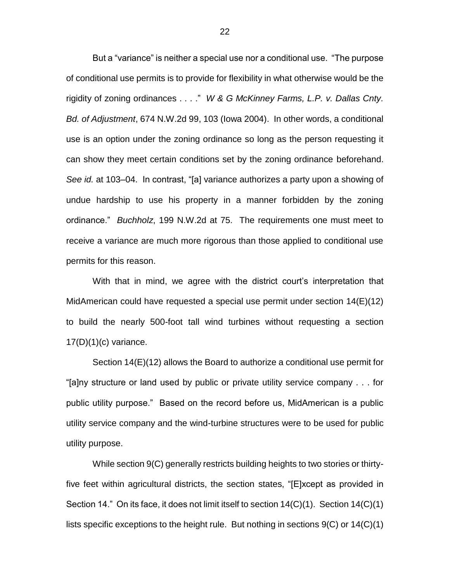But a "variance" is neither a special use nor a conditional use. "The purpose of conditional use permits is to provide for flexibility in what otherwise would be the rigidity of zoning ordinances . . . ." *W & G McKinney Farms, L.P. v. Dallas Cnty. Bd. of Adjustment*, 674 N.W.2d 99, 103 (Iowa 2004). In other words, a conditional use is an option under the zoning ordinance so long as the person requesting it can show they meet certain conditions set by the zoning ordinance beforehand. *See id.* at 103–04. In contrast, "[a] variance authorizes a party upon a showing of undue hardship to use his property in a manner forbidden by the zoning ordinance." *Buchholz*, 199 N.W.2d at 75. The requirements one must meet to receive a variance are much more rigorous than those applied to conditional use permits for this reason.

With that in mind, we agree with the district court's interpretation that MidAmerican could have requested a special use permit under section 14(E)(12) to build the nearly 500-foot tall wind turbines without requesting a section  $17(D)(1)(c)$  variance.

Section 14(E)(12) allows the Board to authorize a conditional use permit for "[a]ny structure or land used by public or private utility service company . . . for public utility purpose." Based on the record before us, MidAmerican is a public utility service company and the wind-turbine structures were to be used for public utility purpose.

While section 9(C) generally restricts building heights to two stories or thirtyfive feet within agricultural districts, the section states, "[E]xcept as provided in Section 14." On its face, it does not limit itself to section 14(C)(1). Section 14(C)(1) lists specific exceptions to the height rule. But nothing in sections 9(C) or 14(C)(1)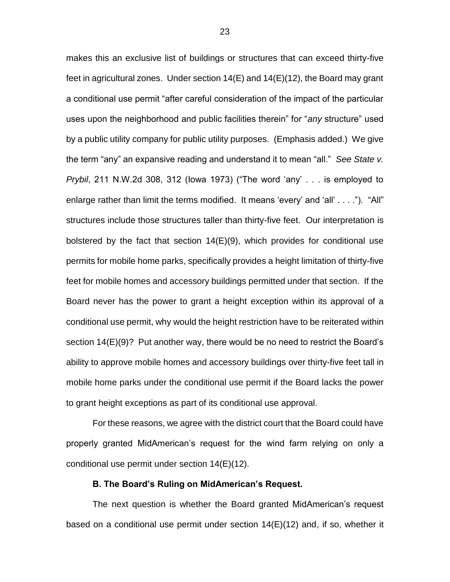makes this an exclusive list of buildings or structures that can exceed thirty-five feet in agricultural zones. Under section 14(E) and 14(E)(12), the Board may grant a conditional use permit "after careful consideration of the impact of the particular uses upon the neighborhood and public facilities therein" for "*any* structure" used by a public utility company for public utility purposes. (Emphasis added.) We give the term "any" an expansive reading and understand it to mean "all." *See State v. Prybil*, 211 N.W.2d 308, 312 (Iowa 1973) ("The word 'any' . . . is employed to enlarge rather than limit the terms modified. It means 'every' and 'all' . . . ."). "All" structures include those structures taller than thirty-five feet. Our interpretation is bolstered by the fact that section 14(E)(9), which provides for conditional use permits for mobile home parks, specifically provides a height limitation of thirty-five feet for mobile homes and accessory buildings permitted under that section. If the Board never has the power to grant a height exception within its approval of a conditional use permit, why would the height restriction have to be reiterated within section 14(E)(9)? Put another way, there would be no need to restrict the Board's ability to approve mobile homes and accessory buildings over thirty-five feet tall in mobile home parks under the conditional use permit if the Board lacks the power to grant height exceptions as part of its conditional use approval.

For these reasons, we agree with the district court that the Board could have properly granted MidAmerican's request for the wind farm relying on only a conditional use permit under section 14(E)(12).

#### **B. The Board's Ruling on MidAmerican's Request.**

The next question is whether the Board granted MidAmerican's request based on a conditional use permit under section 14(E)(12) and, if so, whether it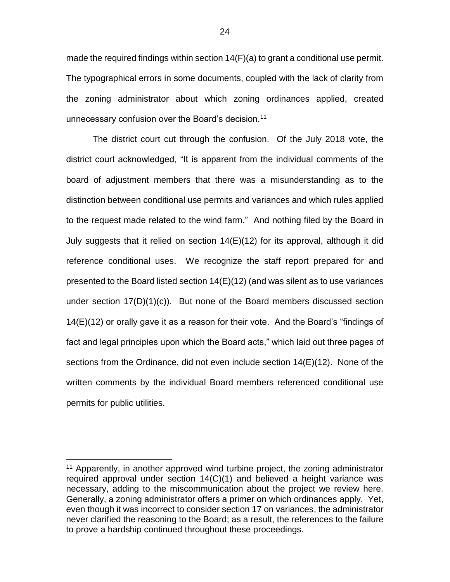made the required findings within section 14(F)(a) to grant a conditional use permit. The typographical errors in some documents, coupled with the lack of clarity from the zoning administrator about which zoning ordinances applied, created unnecessary confusion over the Board's decision.<sup>11</sup>

The district court cut through the confusion. Of the July 2018 vote, the district court acknowledged, "It is apparent from the individual comments of the board of adjustment members that there was a misunderstanding as to the distinction between conditional use permits and variances and which rules applied to the request made related to the wind farm." And nothing filed by the Board in July suggests that it relied on section 14(E)(12) for its approval, although it did reference conditional uses. We recognize the staff report prepared for and presented to the Board listed section 14(E)(12) (and was silent as to use variances under section  $17(D)(1)(c)$ . But none of the Board members discussed section 14(E)(12) or orally gave it as a reason for their vote. And the Board's "findings of fact and legal principles upon which the Board acts," which laid out three pages of sections from the Ordinance, did not even include section 14(E)(12). None of the written comments by the individual Board members referenced conditional use permits for public utilities.

<sup>&</sup>lt;sup>11</sup> Apparently, in another approved wind turbine project, the zoning administrator required approval under section 14(C)(1) and believed a height variance was necessary, adding to the miscommunication about the project we review here. Generally, a zoning administrator offers a primer on which ordinances apply. Yet, even though it was incorrect to consider section 17 on variances, the administrator never clarified the reasoning to the Board; as a result, the references to the failure to prove a hardship continued throughout these proceedings.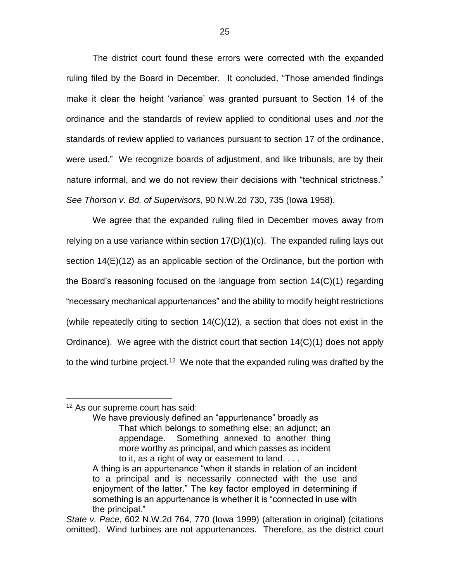The district court found these errors were corrected with the expanded ruling filed by the Board in December. It concluded, "Those amended findings make it clear the height 'variance' was granted pursuant to Section 14 of the ordinance and the standards of review applied to conditional uses and *not* the standards of review applied to variances pursuant to section 17 of the ordinance, were used." We recognize boards of adjustment, and like tribunals, are by their nature informal, and we do not review their decisions with "technical strictness." *See Thorson v. Bd. of Supervisors*, 90 N.W.2d 730, 735 (Iowa 1958).

We agree that the expanded ruling filed in December moves away from relying on a use variance within section 17(D)(1)(c). The expanded ruling lays out section 14(E)(12) as an applicable section of the Ordinance, but the portion with the Board's reasoning focused on the language from section 14(C)(1) regarding "necessary mechanical appurtenances" and the ability to modify height restrictions (while repeatedly citing to section  $14(C)(12)$ , a section that does not exist in the Ordinance). We agree with the district court that section 14(C)(1) does not apply to the wind turbine project.<sup>12</sup> We note that the expanded ruling was drafted by the

### <sup>12</sup> As our supreme court has said:

 $\overline{a}$ 

We have previously defined an "appurtenance" broadly as That which belongs to something else; an adjunct; an appendage. Something annexed to another thing more worthy as principal, and which passes as incident to it, as a right of way or easement to land. . . .

A thing is an appurtenance "when it stands in relation of an incident to a principal and is necessarily connected with the use and enjoyment of the latter." The key factor employed in determining if something is an appurtenance is whether it is "connected in use with the principal."

*State v. Pace*, 602 N.W.2d 764, 770 (Iowa 1999) (alteration in original) (citations omitted). Wind turbines are not appurtenances. Therefore, as the district court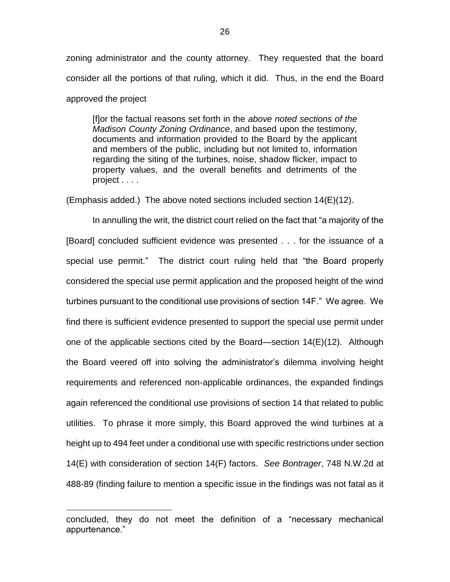zoning administrator and the county attorney. They requested that the board consider all the portions of that ruling, which it did. Thus, in the end the Board approved the project

[f]or the factual reasons set forth in the *above noted sections of the Madison County Zoning Ordinance*, and based upon the testimony, documents and information provided to the Board by the applicant and members of the public, including but not limited to, information regarding the siting of the turbines, noise, shadow flicker, impact to property values, and the overall benefits and detriments of the project . . . .

(Emphasis added.) The above noted sections included section 14(E)(12).

In annulling the writ, the district court relied on the fact that "a majority of the [Board] concluded sufficient evidence was presented . . . for the issuance of a special use permit." The district court ruling held that "the Board properly considered the special use permit application and the proposed height of the wind turbines pursuant to the conditional use provisions of section 14F." We agree. We find there is sufficient evidence presented to support the special use permit under one of the applicable sections cited by the Board—section 14(E)(12). Although the Board veered off into solving the administrator's dilemma involving height requirements and referenced non-applicable ordinances, the expanded findings again referenced the conditional use provisions of section 14 that related to public utilities. To phrase it more simply, this Board approved the wind turbines at a height up to 494 feet under a conditional use with specific restrictions under section 14(E) with consideration of section 14(F) factors. *See Bontrager*, 748 N.W.2d at 488-89 (finding failure to mention a specific issue in the findings was not fatal as it

concluded, they do not meet the definition of a "necessary mechanical appurtenance."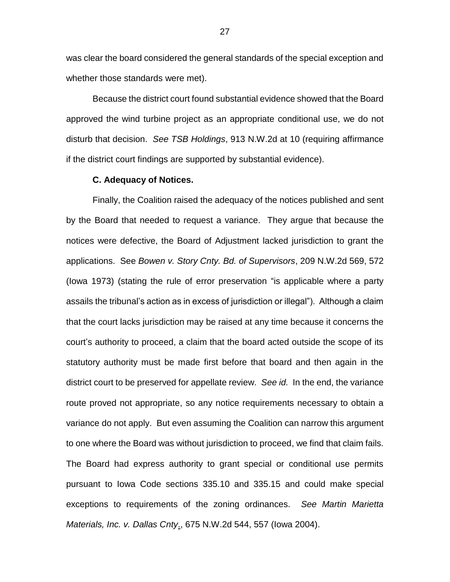was clear the board considered the general standards of the special exception and whether those standards were met).

Because the district court found substantial evidence showed that the Board approved the wind turbine project as an appropriate conditional use, we do not disturb that decision. *See TSB Holdings*, 913 N.W.2d at 10 (requiring affirmance if the district court findings are supported by substantial evidence).

#### **C. Adequacy of Notices.**

Finally, the Coalition raised the adequacy of the notices published and sent by the Board that needed to request a variance. They argue that because the notices were defective, the Board of Adjustment lacked jurisdiction to grant the applications. See *Bowen v. Story Cnty. Bd. of Supervisors*, 209 N.W.2d 569, 572 (Iowa 1973) (stating the rule of error preservation "is applicable where a party assails the tribunal's action as in excess of jurisdiction or illegal"). Although a claim that the court lacks jurisdiction may be raised at any time because it concerns the court's authority to proceed, a claim that the board acted outside the scope of its statutory authority must be made first before that board and then again in the district court to be preserved for appellate review. *See id.* In the end, the variance route proved not appropriate, so any notice requirements necessary to obtain a variance do not apply. But even assuming the Coalition can narrow this argument to one where the Board was without jurisdiction to proceed, we find that claim fails. The Board had express authority to grant special or conditional use permits pursuant to Iowa Code sections 335.10 and 335.15 and could make special exceptions to requirements of the zoning ordinances. *See Martin Marietta Materials, Inc. v. Dallas Cnty*., 675 N.W.2d 544, 557 (Iowa 2004).